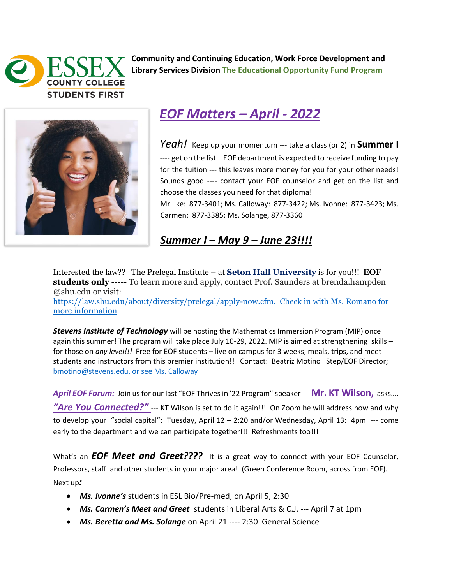

**Community and Continuing Education, Work Force Development and Library Services Division The Educational Opportunity Fund Program** 



## *EOF Matters – April - 2022*

*Yeah!* Keep up your momentum --- take a class (or 2) in **Summer I** ---- get on the list - EOF department is expected to receive funding to pay for the tuition --- this leaves more money for you for your other needs! Sounds good ---- contact your EOF counselor and get on the list and choose the classes you need for that diploma!

Mr. Ike: 877-3401; Ms. Calloway: 877-3422; Ms. Ivonne: 877-3423; Ms. Carmen: 877-3385; Ms. Solange, 877-3360

## *Summer I – May 9 – June 23!!!!*

Interested the law?? The Prelegal Institute – at **Seton Hall University** is for you!!! **EOF students only -----** To learn more and apply, [contact Prof. Saunders at brenda.hampden](http://law.shu.edu/About/diversity/prelegal/index.cfm) [@shu.edu or visit](http://law.shu.edu/About/diversity/prelegal/index.cfm): [https://law.shu.edu/about/diversity/prelegal/apply-now.cfm.](https://law.shu.edu/about/diversity/prelegal/apply-now.cfm) Check in with Ms. Romano for more information

*Stevens Institute of Technology* will be hosting the Mathematics Immersion Program (MIP) once again this summer! The program will take place July 10-29, 2022. MIP is aimed at strengthening skills for those on *any level!!!* Free for EOF students – live on campus for 3 weeks, meals, trips, and meet students and instructors from this premier institution!! Contact: Beatriz Motino Step/EOF Director; [bmotino@stevens.edu,](mailto:bmotino@stevens.edu) or see Ms. Calloway

*April EOF Forum:* Join us for our last "EOF Thrives in '22 Program" speaker --- **Mr. KT Wilson,** asks…. "Are You Connected?" --- KT Wilson is set to do it again!!! On Zoom he will address how and why to develop your "social capital": Tuesday, April 12 – 2:20 and/or Wednesday, April 13: 4pm --- come early to the department and we can participate together!!! Refreshments too!!!

What's an **EOF Meet and Greet????** It is a great way to connect with your EOF Counselor, Professors, staff and other students in your major area! (Green Conference Room, across from EOF). Next up*:* 

- *Ms. Ivonne's* students in ESL Bio/Pre-med, on April 5, 2:30
- *Ms. Carmen's Meet and Greet* students in Liberal Arts & C.J. --- April 7 at 1pm
- *Ms. Beretta and Ms. Solange* on April 21 ---- 2:30 General Science